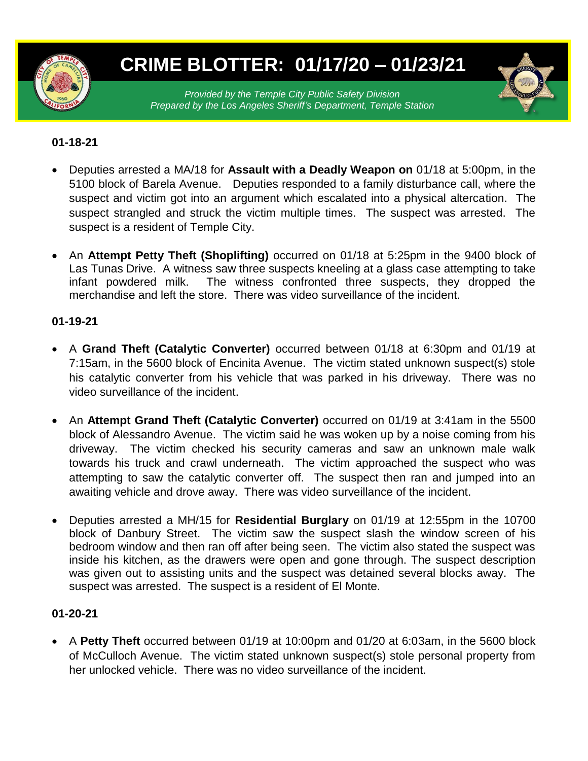

# **CRIME BLOTTER: 01/17/20 – 01/23/21**

*Provided by the Temple City Public Safety Division Prepared by the Los Angeles Sheriff's Department, Temple Station*

#### **01-18-21**

- Deputies arrested a MA/18 for **Assault with a Deadly Weapon on** 01/18 at 5:00pm, in the 5100 block of Barela Avenue. Deputies responded to a family disturbance call, where the suspect and victim got into an argument which escalated into a physical altercation. The suspect strangled and struck the victim multiple times. The suspect was arrested. The suspect is a resident of Temple City.
- An **Attempt Petty Theft (Shoplifting)** occurred on 01/18 at 5:25pm in the 9400 block of Las Tunas Drive. A witness saw three suspects kneeling at a glass case attempting to take infant powdered milk. The witness confronted three suspects, they dropped the merchandise and left the store. There was video surveillance of the incident.

#### **01-19-21**

- A **Grand Theft (Catalytic Converter)** occurred between 01/18 at 6:30pm and 01/19 at 7:15am, in the 5600 block of Encinita Avenue. The victim stated unknown suspect(s) stole his catalytic converter from his vehicle that was parked in his driveway. There was no video surveillance of the incident.
- An **Attempt Grand Theft (Catalytic Converter)** occurred on 01/19 at 3:41am in the 5500 block of Alessandro Avenue. The victim said he was woken up by a noise coming from his driveway. The victim checked his security cameras and saw an unknown male walk towards his truck and crawl underneath. The victim approached the suspect who was attempting to saw the catalytic converter off. The suspect then ran and jumped into an awaiting vehicle and drove away. There was video surveillance of the incident.
- Deputies arrested a MH/15 for **Residential Burglary** on 01/19 at 12:55pm in the 10700 block of Danbury Street. The victim saw the suspect slash the window screen of his bedroom window and then ran off after being seen. The victim also stated the suspect was inside his kitchen, as the drawers were open and gone through. The suspect description was given out to assisting units and the suspect was detained several blocks away. The suspect was arrested. The suspect is a resident of El Monte.

#### **01-20-21**

 A **Petty Theft** occurred between 01/19 at 10:00pm and 01/20 at 6:03am, in the 5600 block of McCulloch Avenue. The victim stated unknown suspect(s) stole personal property from her unlocked vehicle. There was no video surveillance of the incident.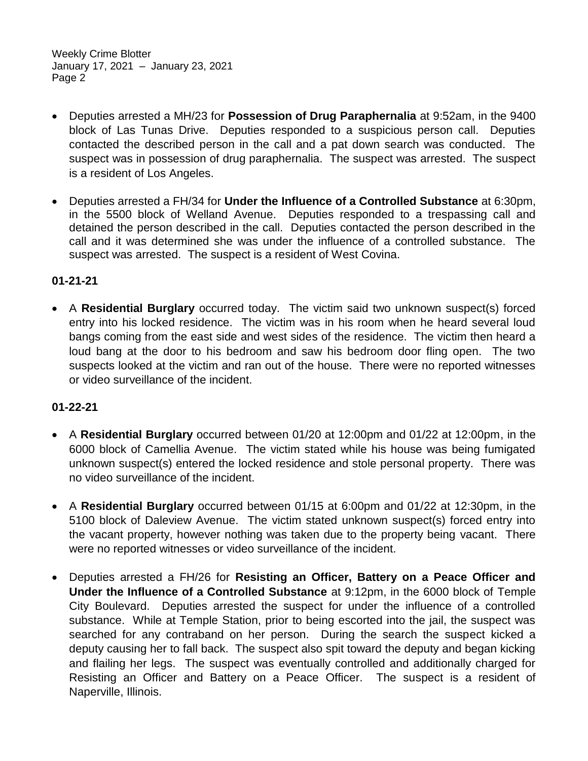Weekly Crime Blotter January 17, 2021 – January 23, 2021 Page 2

- Deputies arrested a MH/23 for **Possession of Drug Paraphernalia** at 9:52am, in the 9400 block of Las Tunas Drive. Deputies responded to a suspicious person call. Deputies contacted the described person in the call and a pat down search was conducted. The suspect was in possession of drug paraphernalia. The suspect was arrested. The suspect is a resident of Los Angeles.
- Deputies arrested a FH/34 for **Under the Influence of a Controlled Substance** at 6:30pm, in the 5500 block of Welland Avenue. Deputies responded to a trespassing call and detained the person described in the call. Deputies contacted the person described in the call and it was determined she was under the influence of a controlled substance. The suspect was arrested. The suspect is a resident of West Covina.

### **01-21-21**

 A **Residential Burglary** occurred today. The victim said two unknown suspect(s) forced entry into his locked residence. The victim was in his room when he heard several loud bangs coming from the east side and west sides of the residence. The victim then heard a loud bang at the door to his bedroom and saw his bedroom door fling open. The two suspects looked at the victim and ran out of the house. There were no reported witnesses or video surveillance of the incident.

#### **01-22-21**

- A **Residential Burglary** occurred between 01/20 at 12:00pm and 01/22 at 12:00pm, in the 6000 block of Camellia Avenue. The victim stated while his house was being fumigated unknown suspect(s) entered the locked residence and stole personal property. There was no video surveillance of the incident.
- A **Residential Burglary** occurred between 01/15 at 6:00pm and 01/22 at 12:30pm, in the 5100 block of Daleview Avenue. The victim stated unknown suspect(s) forced entry into the vacant property, however nothing was taken due to the property being vacant. There were no reported witnesses or video surveillance of the incident.
- Deputies arrested a FH/26 for **Resisting an Officer, Battery on a Peace Officer and Under the Influence of a Controlled Substance** at 9:12pm, in the 6000 block of Temple City Boulevard. Deputies arrested the suspect for under the influence of a controlled substance. While at Temple Station, prior to being escorted into the jail, the suspect was searched for any contraband on her person. During the search the suspect kicked a deputy causing her to fall back. The suspect also spit toward the deputy and began kicking and flailing her legs. The suspect was eventually controlled and additionally charged for Resisting an Officer and Battery on a Peace Officer. The suspect is a resident of Naperville, Illinois.